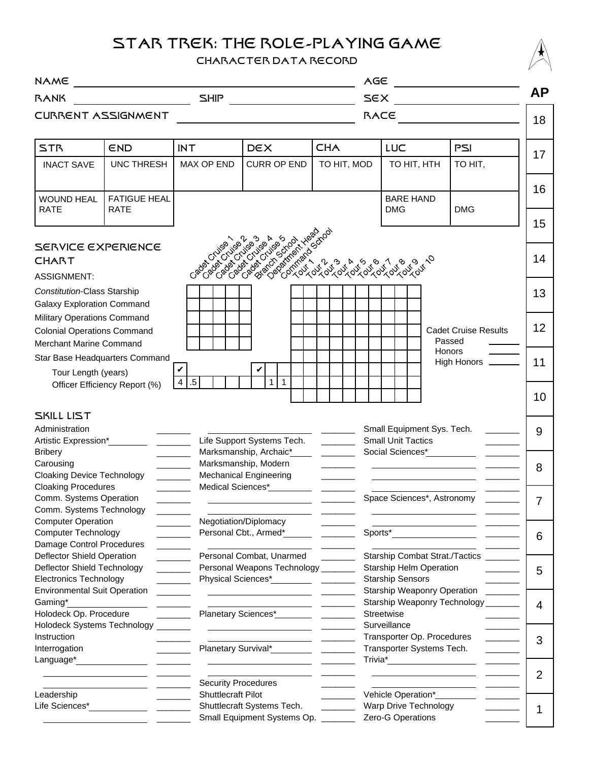# STAR TREK: THE ROLE-PLAYING GAME

### CHARACTER DATA RECORD



| <b>NAME</b><br><u> 1989 - Johann Stein, fransk politik (d. 1989)</u>                                                                  |                                    |                            |                                                                                                         |                          | AGE                                                                                                                                                                                                                            |                                       |                 |
|---------------------------------------------------------------------------------------------------------------------------------------|------------------------------------|----------------------------|---------------------------------------------------------------------------------------------------------|--------------------------|--------------------------------------------------------------------------------------------------------------------------------------------------------------------------------------------------------------------------------|---------------------------------------|-----------------|
| <b>SHIP</b><br><b>BANK</b>                                                                                                            |                                    |                            |                                                                                                         |                          | SEX                                                                                                                                                                                                                            |                                       |                 |
| CURRENT ASSIGNMENT                                                                                                                    |                                    |                            |                                                                                                         |                          | RACE                                                                                                                                                                                                                           |                                       | 18              |
| <b>STR</b>                                                                                                                            | END                                | <b>INT</b>                 | <b>DEX</b>                                                                                              | <b>CHA</b>               | <b>LUC</b>                                                                                                                                                                                                                     | PSI                                   | 17              |
| <b>INACT SAVE</b>                                                                                                                     | <b>UNC THRESH</b>                  | <b>MAX OP END</b>          | <b>CURR OP END</b>                                                                                      | TO HIT, MOD              | TO HIT, HTH                                                                                                                                                                                                                    | TO HIT,                               |                 |
| <b>WOUND HEAL</b><br><b>RATE</b>                                                                                                      | <b>FATIGUE HEAL</b><br><b>RATE</b> |                            |                                                                                                         |                          | <b>BARE HAND</b><br><b>DMG</b>                                                                                                                                                                                                 | <b>DMG</b>                            | 16<br>15        |
| SERVICE EXPERIENCE<br><b>CHART</b>                                                                                                    |                                    |                            |                                                                                                         |                          |                                                                                                                                                                                                                                |                                       | 14              |
| <b>ASSIGNMENT:</b><br>Constitution-Class Starship<br><b>Galaxy Exploration Command</b>                                                |                                    |                            |                                                                                                         |                          |                                                                                                                                                                                                                                |                                       | 13              |
| Military Operations Command<br><b>Colonial Operations Command</b><br>Merchant Marine Command                                          |                                    |                            |                                                                                                         |                          |                                                                                                                                                                                                                                | <b>Cadet Cruise Results</b><br>Passed | 12              |
| Star Base Headquarters Command<br>Tour Length (years)                                                                                 |                                    |                            |                                                                                                         |                          |                                                                                                                                                                                                                                | Honors<br>High Honors ______          | 11              |
|                                                                                                                                       | Officer Efficiency Report (%)      | $.5\,$<br>$\overline{4}$   | $\mathbf{1}$<br>$\mathbf 1$                                                                             |                          |                                                                                                                                                                                                                                |                                       | 10 <sup>°</sup> |
| SKILL LIST<br>Administration<br>Artistic Expression*                                                                                  |                                    |                            | Life Support Systems Tech.                                                                              | <b>Contract Contract</b> | Small Equipment Sys. Tech.<br><b>Small Unit Tactics</b>                                                                                                                                                                        |                                       | 9               |
| <b>Bribery</b><br>Carousing<br><b>Cloaking Device Technology</b>                                                                      |                                    | $\sim$ $\sim$              | Marksmanship, Archaic*<br>Marksmanship, Modern<br><b>Mechanical Engineering</b>                         | <b>Contract Contract</b> | Social Sciences*<br><u> Social Sciences</u>                                                                                                                                                                                    |                                       | 8               |
| <b>Cloaking Procedures</b><br>Comm. Systems Operation<br>Comm. Systems Technology                                                     |                                    | Medical Sciences*          |                                                                                                         |                          | Space Sciences*, Astronomy                                                                                                                                                                                                     |                                       | $\overline{7}$  |
| <b>Computer Operation</b><br><b>Computer Technology</b><br>Damage Control Procedures                                                  |                                    |                            | Negotiation/Diplomacy<br>Personal Cbt., Armed*                                                          |                          | Sports*                                                                                                                                                                                                                        |                                       | 6               |
| Deflector Shield Operation<br>$\mathcal{L}^{\text{max}}_{\text{max}}$<br>Deflector Shield Technology<br><b>Electronics Technology</b> |                                    |                            | Personal Combat, Unarmed<br>Personal Weapons Technology _______<br>Physical Sciences* Physical Sciences |                          | Starship Combat Strat./Tactics ________<br>Starship Helm Operation<br><b>Starship Sensors</b>                                                                                                                                  |                                       |                 |
| <b>Environmental Suit Operation</b><br>Gaming*<br>Holodeck Op. Procedure                                                              |                                    |                            | Planetary Sciences*<br><u>____________________</u>                                                      |                          | Starship Weaponry Operation<br>Starship Weaponry Technology _______<br>Streetwise                                                                                                                                              |                                       |                 |
| Holodeck Systems Technology<br>Instruction<br>Interrogation                                                                           |                                    |                            | Planetary Survival*                                                                                     |                          | Surveillance<br>Transporter Op. Procedures<br>Transporter Systems Tech.                                                                                                                                                        |                                       |                 |
| Language*                                                                                                                             |                                    | <b>Security Procedures</b> |                                                                                                         |                          | Trivia* Letter and the second service of the service of the series of the series of the series of the series of the series of the series of the series of the series of the series of the series of the series of the series o |                                       | 2               |
| Leadership<br>Life Sciences*                                                                                                          |                                    |                            | Shuttlecraft Pilot<br>Shuttlecraft Systems Tech.<br>Small Equipment Systems Op. _______                 |                          | Vehicle Operation*<br>Warp Drive Technology<br>Zero-G Operations                                                                                                                                                               |                                       | 1               |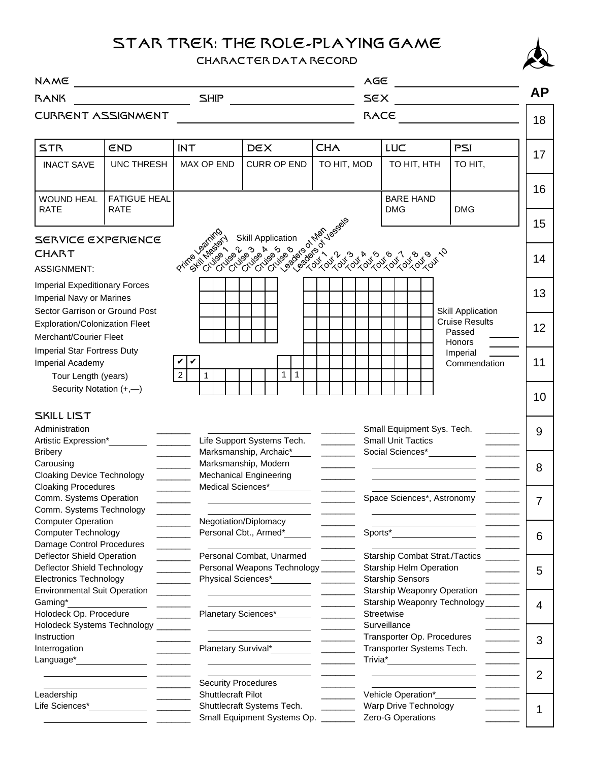## STAR TREK: THE ROLE-PLAYING GAME

#### CHARACTER DATA RECORD



| <b>NAME</b>                                                                                                                     |                                    |                                                  |                                                                                                                                                                                                                                | AGE            |      |                                                                                                                                |                                                                                                      |           |  |
|---------------------------------------------------------------------------------------------------------------------------------|------------------------------------|--------------------------------------------------|--------------------------------------------------------------------------------------------------------------------------------------------------------------------------------------------------------------------------------|----------------|------|--------------------------------------------------------------------------------------------------------------------------------|------------------------------------------------------------------------------------------------------|-----------|--|
| SHIP<br><b>BANK</b>                                                                                                             |                                    |                                                  |                                                                                                                                                                                                                                |                | SEX  |                                                                                                                                |                                                                                                      | <b>AP</b> |  |
| CURRENT ASSIGNMENT                                                                                                              |                                    |                                                  |                                                                                                                                                                                                                                |                | RACE |                                                                                                                                |                                                                                                      | 18        |  |
| <b>STR</b>                                                                                                                      | END                                | <b>INT</b>                                       | <b>DEX</b>                                                                                                                                                                                                                     | <b>CHA</b>     |      | LUC                                                                                                                            | PSI                                                                                                  |           |  |
| <b>INACT SAVE</b>                                                                                                               | <b>UNC THRESH</b>                  | <b>MAX OP END</b>                                | <b>CURR OP END</b>                                                                                                                                                                                                             | TO HIT, MOD    |      | TO HIT, HTH                                                                                                                    | TO HIT,                                                                                              | 17        |  |
| <b>WOUND HEAL</b><br><b>RATE</b>                                                                                                | <b>FATIGUE HEAL</b><br><b>RATE</b> |                                                  |                                                                                                                                                                                                                                |                |      | <b>BARE HAND</b><br><b>DMG</b>                                                                                                 | <b>DMG</b>                                                                                           | 16        |  |
| SERVICE EXPERIENCE<br><b>CHART</b>                                                                                              |                                    |                                                  | Prince of the control of the control of the control of the control of the control of the control of the control of the control of the control of the control of the control of the control of the control of the control of th |                |      |                                                                                                                                |                                                                                                      | 15<br>14  |  |
| <b>ASSIGNMENT:</b><br><b>Imperial Expeditionary Forces</b>                                                                      |                                    |                                                  |                                                                                                                                                                                                                                |                |      |                                                                                                                                |                                                                                                      |           |  |
| Imperial Navy or Marines<br>Sector Garrison or Ground Post                                                                      |                                    |                                                  |                                                                                                                                                                                                                                |                |      |                                                                                                                                | <b>Skill Application</b>                                                                             | 13        |  |
| <b>Exploration/Colonization Fleet</b><br>Merchant/Courier Fleet                                                                 |                                    |                                                  |                                                                                                                                                                                                                                |                |      |                                                                                                                                | <b>Cruise Results</b><br>Passed<br><b>Honors</b>                                                     | 12        |  |
| Imperial Star Fortress Duty<br>Imperial Academy<br>$\overline{2}$<br>Tour Length (years)                                        |                                    | V<br>$\mathbf{1}$                                | $\mathbf{1}$<br>$\mathbf{1}$                                                                                                                                                                                                   |                |      |                                                                                                                                | Imperial<br>Commendation                                                                             | 11        |  |
| Security Notation (+,-)                                                                                                         |                                    |                                                  |                                                                                                                                                                                                                                |                |      |                                                                                                                                |                                                                                                      | 10        |  |
| SKILL LIST<br>Administration                                                                                                    |                                    |                                                  |                                                                                                                                                                                                                                |                |      | Small Equipment Sys. Tech.                                                                                                     |                                                                                                      | 9         |  |
| Artistic Expression*<br>$\mathcal{L}^{\text{max}}_{\text{max}}$ . The $\mathcal{L}^{\text{max}}_{\text{max}}$<br><b>Bribery</b> |                                    |                                                  | Life Support Systems Tech.<br>Marksmanship, Archaic*<br>$\frac{1}{2} \left( \frac{1}{2} \right)^2 \left( \frac{1}{2} \right)^2 \left( \frac{1}{2} \right)^2$                                                                   |                |      | <b>Small Unit Tactics</b>                                                                                                      |                                                                                                      |           |  |
| Carousing<br><b>Cloaking Device Technology</b><br><b>Cloaking Procedures</b>                                                    |                                    |                                                  | Marksmanship, Modern<br><b>Mechanical Engineering</b><br>Medical Sciences*                                                                                                                                                     |                |      |                                                                                                                                |                                                                                                      | 8         |  |
| Comm. Systems Operation<br>Comm. Systems Technology                                                                             |                                    |                                                  |                                                                                                                                                                                                                                |                |      | Space Sciences*, Astronomy                                                                                                     |                                                                                                      | 7         |  |
| <b>Computer Operation</b><br><b>Computer Technology</b><br>Damage Control Procedures                                            |                                    |                                                  | Negotiation/Diplomacy<br>Personal Cbt., Armed*                                                                                                                                                                                 |                |      |                                                                                                                                |                                                                                                      | 6         |  |
| Deflector Shield Operation<br>Deflector Shield Technology<br><b>Electronics Technology</b>                                      |                                    | $\mathcal{L}^{\text{max}}_{\text{max}}$          | Personal Combat, Unarmed<br>Personal Weapons Technology ______                                                                                                                                                                 |                |      | Starship Combat Strat./Tactics _______<br><b>Starship Helm Operation</b><br><u> De Carlos de Ca</u><br><b>Starship Sensors</b> |                                                                                                      |           |  |
| <b>Environmental Suit Operation</b><br>Gaming*                                                                                  |                                    |                                                  |                                                                                                                                                                                                                                |                |      | Starship Weaponry Operation                                                                                                    | $\mathcal{L}^{\text{max}}$ , where $\mathcal{L}^{\text{max}}$<br>Starship Weaponry Technology ______ | 4         |  |
| Holodeck Op. Procedure<br>Holodeck Systems Technology<br>Instruction                                                            |                                    |                                                  |                                                                                                                                                                                                                                |                |      | Streetwise<br>Surveillance<br>Transporter Op. Procedures<br><b>Contract Contract</b><br>Transporter Systems Tech.              |                                                                                                      |           |  |
| Interrogation<br>Language*                                                                                                      |                                    |                                                  |                                                                                                                                                                                                                                |                |      |                                                                                                                                | $\mathcal{L}^{\text{max}}_{\text{max}}$ , and $\mathcal{L}^{\text{max}}_{\text{max}}$                | 2         |  |
| Leadership<br>Life Sciences*                                                                                                    |                                    | <b>Security Procedures</b><br>Shuttlecraft Pilot |                                                                                                                                                                                                                                | $\overline{a}$ |      | Vehicle Operation*<br>Warp Drive Technology                                                                                    |                                                                                                      | 1         |  |
|                                                                                                                                 |                                    |                                                  | Shuttlecraft Systems Tech.<br>Small Equipment Systems Op. _______                                                                                                                                                              |                |      | Zero-G Operations                                                                                                              |                                                                                                      |           |  |